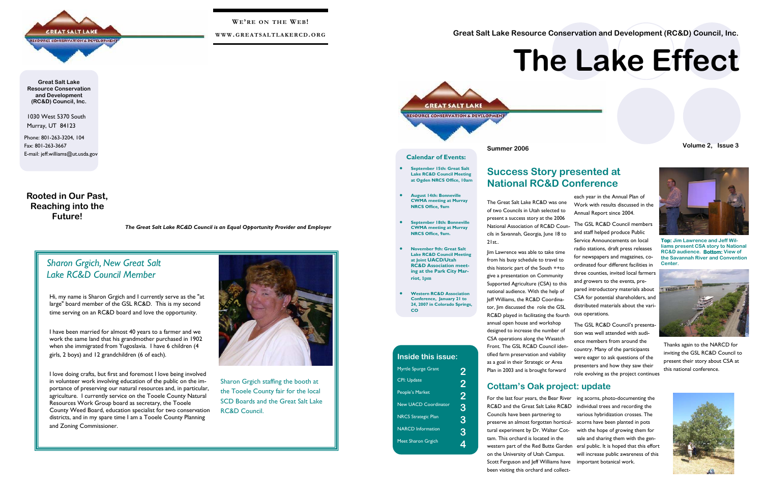1030 West 5370 South Murray, UT 84123

Phone: 801-263-3204, 104 Fax: 801-263-3667 E-mail: jeff.williams@ut.usda.gov

**Great Salt Lake Resource Conservation and Development (RC&D) Council, Inc.** 

**Rooted in Our Past, Reaching into the Future!** 



**WE'RE ON THE WE B!** 

**WWW. GREATSALTLAKERCD. ORG**

*The Great Salt Lake RC&D Council is an Equal Opportunity Provider and Employer* 

## *Sharon Grgich, New Great Salt Lake RC&D Council Member*

Sharon Grgich staffing the booth at the Tooele County fair for the local SCD Boards and the Great Salt Lake RC&D Council.



Hi, my name is Sharon Grgich and I currently serve as the "at large" board member of the GSL RC&D. This is my second time serving on an RC&D board and love the opportunity.

I have been married for almost 40 years to a farmer and we work the same land that his grandmother purchased in 1902 when she immigrated from Yugoslavia. I have 6 children (4 girls, 2 boys) and 12 grandchildren (6 of each).

I love doing crafts, but first and foremost I love being involved in volunteer work involving education of the public on the importance of preserving our natural resources and, in particular, agriculture. I currently service on the Tooele County Natural Resources Work Group board as secretary, the Tooele County Weed Board, education specialist for two conservation districts, and in my spare time I am a Tooele County Planning and Zoning Commissioner.



Thanks again to the NARCD for inviting the GSL RC&D Council to present their story about CSA at this national conference.



The Great Salt Lake RC&D was one of two Councils in Utah selected to present a success story at the 2006 21st..

**Inside this issue:**Myrtle Spurge Grant 2 CPI: Update People's Market New UACD Coordinator NRCS Strategic Plan NARCD Information **Meet Sharon Grgich** 

National Association of RC&D Councils in Savannah, Georgia, June 18 to Jim Lawrence was able to take time from his busy schedule to travel to this historic part of the South ++to give a presentation on Community Supported Agriculture (CSA) to this national audience. With the help of Jeff Williams, the RC&D Coordinator, Jim discussed the role the GSL RC&D played in facilitating the fourth annual open house and workshop designed to increase the number of CSA operations along the Wasatch Front. The GSL RC&D Council identified farm preservation and viability as a goal in their Strategic or Area Plan in 2003 and is brought forward The GSL RC&D Council members and staff helped produce Public Service Announcements on local radio stations, draft press releases for newspapers and magazines, coordinated four different facilities in three counties, invited local farmers and growers to the events, prepared introductory materials about CSA for potential shareholders, and distributed materials about the various operations. The GSL RC&D Council's presentation was well attended with audience members from around the country. Many of the participants were eager to ask questions of the presenters and how they saw their role evolving as the project continues

each year in the Annual Plan of Work with results discussed in the Annual Report since 2004.

For the last four years, the Bear River ing acorns, photo-documenting the western part of the Red Butte Garden eral public. It is hoped that this effort ing acorns, photo-documenting the individual trees and recording the various hybridization crosses. The acorns have been planted in pots with the hope of growing them for sale and sharing them with the genwill increase public awareness of this<br>important botanical work.

# **Success Story presented at National RC&D Conference**

# **Cottam's Oak project: update**

RC&D and the Great Salt Lake RC&D Councils have been partnering to preserve an almost forgotten horticultural experiment by Dr. Walter Cottam. This orchard is located in the on the University of Utah Campus. Scott Ferguson and Jeff Williams have been visiting this orchard and collect-

**Great Salt Lake Resource Conservation and Development (RC&D) Council, Inc.** 

**Summer 2006 Volume 2, Issue 3** 

# **The Lake Effect**



**Top: Jim Lawrence and Jeff Williams present CSA story to National RC&D audience. Bottom: View of the Savannah River and Convention Center.** 



**Calendar of Events:** 

• **September 15th: Great Salt Lake RC&D Council Meeting at Ogden NRCS Office, 10am** 

- **August 14th: Bonneville CWMA meeting at Murray NRCS Office, 9am**
- **September 18th: Bonneville CWMA meeting at Murray NRCS Office, 9am.**
- **November 9th: Great Salt Lake RC&D Council Meeting at Joint UACD/Utah RC&D Association meeting at the Park City Marriot, 1pm**
- **Western RC&D Association Conference, January 21 to 24, 2007 in Colorado Springs, CO**